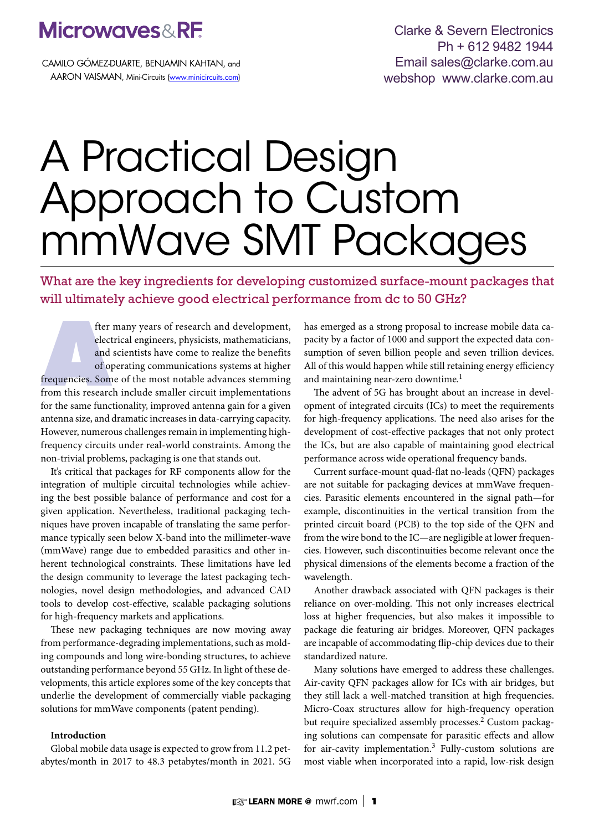# **Microwaves&RF**

CAMILO GÓMEZ-DUARTE, BENJAMIN KAHTAN, and AARON VAISMAN, Mini-Circuits (www.minicircuits.com)

Clarke & Severn Electronics Ph + 612 9482 1944 Email sales@clarke.com.au webshop www.clarke.com.au

# A Practical Design Approach to Custom mmWave SMT Packages

What are the key ingredients for developing customized surface-mount packages that will ultimately achieve good electrical performance from dc to 50 GHz?

fter<br>
elect<br>
and<br>
of op<br>
frequencies. Som<br>
from this researc fter many years of research and development, electrical engineers, physicists, mathematicians, and scientists have come to realize the benefits of operating communications systems at higher frequencies. Some of the most notable advances stemming from this research include smaller circuit implementations for the same functionality, improved antenna gain for a given antenna size, and dramatic increases in data-carrying capacity. However, numerous challenges remain in implementing highfrequency circuits under real-world constraints. Among the non-trivial problems, packaging is one that stands out.

It's critical that packages for RF components allow for the integration of multiple circuital technologies while achieving the best possible balance of performance and cost for a given application. Nevertheless, traditional packaging techniques have proven incapable of translating the same performance typically seen below X-band into the millimeter-wave (mmWave) range due to embedded parasitics and other inherent technological constraints. These limitations have led the design community to leverage the latest packaging technologies, novel design methodologies, and advanced CAD tools to develop cost-effective, scalable packaging solutions for high-frequency markets and applications.

These new packaging techniques are now moving away from performance-degrading implementations, such as molding compounds and long wire-bonding structures, to achieve outstanding performance beyond 55 GHz. In light of these developments, this article explores some of the key concepts that underlie the development of commercially viable packaging solutions for mmWave components (patent pending).

### **Introduction**

Global mobile data usage is expected to grow from 11.2 petabytes/month in 2017 to 48.3 petabytes/month in 2021. 5G has emerged as a strong proposal to increase mobile data capacity by a factor of 1000 and support the expected data consumption of seven billion people and seven trillion devices. All of this would happen while still retaining energy efficiency and maintaining near-zero downtime.<sup>1</sup>

The advent of 5G has brought about an increase in development of integrated circuits (ICs) to meet the requirements for high-frequency applications. The need also arises for the development of cost-effective packages that not only protect the ICs, but are also capable of maintaining good electrical performance across wide operational frequency bands.

Current surface-mount quad-flat no-leads (QFN) packages are not suitable for packaging devices at mmWave frequencies. Parasitic elements encountered in the signal path—for example, discontinuities in the vertical transition from the printed circuit board (PCB) to the top side of the QFN and from the wire bond to the IC—are negligible at lower frequencies. However, such discontinuities become relevant once the physical dimensions of the elements become a fraction of the wavelength.

Another drawback associated with QFN packages is their reliance on over-molding. This not only increases electrical loss at higher frequencies, but also makes it impossible to package die featuring air bridges. Moreover, QFN packages are incapable of accommodating flip-chip devices due to their standardized nature.

Many solutions have emerged to address these challenges. Air-cavity QFN packages allow for ICs with air bridges, but they still lack a well-matched transition at high frequencies. Micro-Coax structures allow for high-frequency operation but require specialized assembly processes.<sup>2</sup> Custom packaging solutions can compensate for parasitic effects and allow for air-cavity implementation.3 Fully-custom solutions are most viable when incorporated into a rapid, low-risk design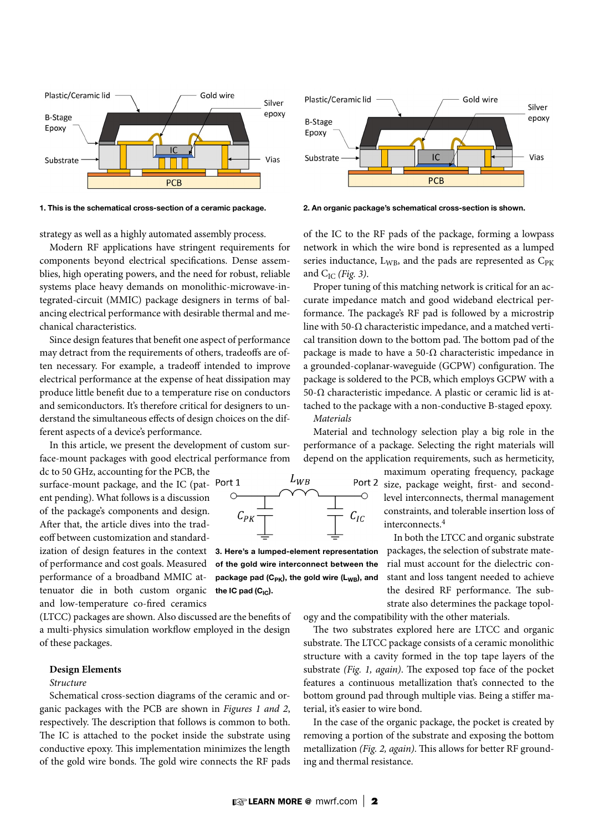

1. This is the schematical cross-section of a ceramic package. 2. An organic package's schematical cross-section is shown.



strategy as well as a highly automated assembly process.

Modern RF applications have stringent requirements for components beyond electrical specifications. Dense assemblies, high operating powers, and the need for robust, reliable systems place heavy demands on monolithic-microwave-integrated-circuit (MMIC) package designers in terms of balancing electrical performance with desirable thermal and mechanical characteristics.

Since design features that benefit one aspect of performance may detract from the requirements of others, tradeoffs are often necessary. For example, a tradeoff intended to improve electrical performance at the expense of heat dissipation may produce little benefit due to a temperature rise on conductors and semiconductors. It's therefore critical for designers to understand the simultaneous effects of design choices on the different aspects of a device's performance.

In this article, we present the development of custom surface-mount packages with good electrical performance from

dc to 50 GHz, accounting for the PCB, the surface-mount package, and the IC (patent pending). What follows is a discussion of the package's components and design. After that, the article dives into the tradeoff between customization and standardization of design features in the context of performance and cost goals. Measured performance of a broadband MMIC attenuator die in both custom organic and low-temperature co-fired ceramics

(LTCC) packages are shown. Also discussed are the benefits of a multi-physics simulation workflow employed in the design of these packages.

#### **Design Elements**

# *Structure*

Schematical cross-section diagrams of the ceramic and organic packages with the PCB are shown in *Figures 1 and 2*, respectively. The description that follows is common to both. The IC is attached to the pocket inside the substrate using conductive epoxy. This implementation minimizes the length of the gold wire bonds. The gold wire connects the RF pads

of the IC to the RF pads of the package, forming a lowpass network in which the wire bond is represented as a lumped series inductance,  $L_{WB}$ , and the pads are represented as  $C_{PK}$ and CIC *(Fig. 3)*.

Proper tuning of this matching network is critical for an accurate impedance match and good wideband electrical performance. The package's RF pad is followed by a microstrip line with 50- $\Omega$  characteristic impedance, and a matched vertical transition down to the bottom pad. The bottom pad of the package is made to have a 50- $\Omega$  characteristic impedance in a grounded-coplanar-waveguide (GCPW) configuration. The package is soldered to the PCB, which employs GCPW with a 50-Ω characteristic impedance. A plastic or ceramic lid is attached to the package with a non-conductive B-staged epoxy. *Materials*

Material and technology selection play a big role in the performance of a package. Selecting the right materials will depend on the application requirements, such as hermeticity,

> maximum operating frequency, package Port 2 size, package weight, first- and secondlevel interconnects, thermal management constraints, and tolerable insertion loss of interconnects.<sup>4</sup>

> > In both the LTCC and organic substrate packages, the selection of substrate material must account for the dielectric constant and loss tangent needed to achieve the desired RF performance. The substrate also determines the package topol-

ogy and the compatibility with the other materials.

The two substrates explored here are LTCC and organic substrate. The LTCC package consists of a ceramic monolithic structure with a cavity formed in the top tape layers of the substrate *(Fig. 1, again)*. The exposed top face of the pocket features a continuous metallization that's connected to the bottom ground pad through multiple vias. Being a stiffer material, it's easier to wire bond.

In the case of the organic package, the pocket is created by removing a portion of the substrate and exposing the bottom metallization *(Fig. 2, again)*. This allows for better RF grounding and thermal resistance.



3. Here's a lumped-element representation of the gold wire interconnect between the package pad  $(C_{PK})$ , the gold wire  $(L_{WB})$ , and the IC pad  $(C_{IC})$ .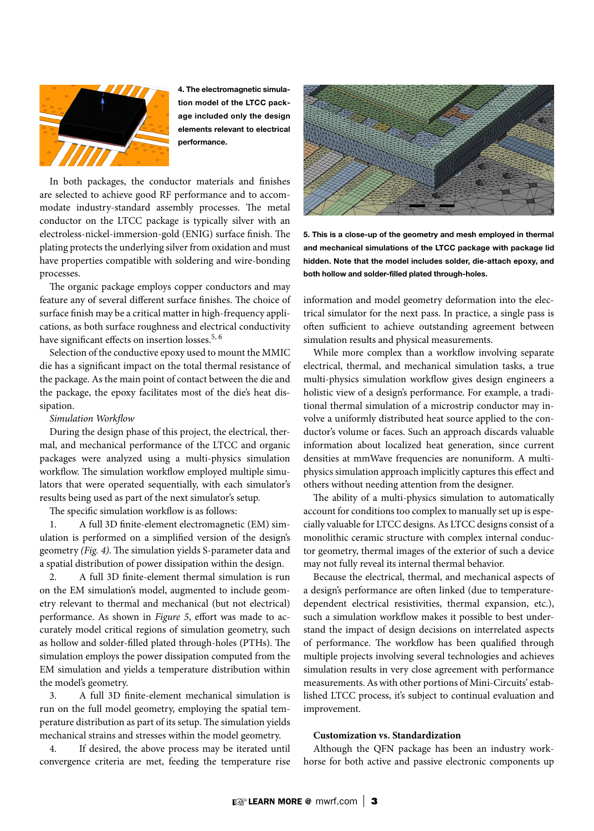

4. The electromagnetic simulation model of the LTCC package included only the design elements relevant to electrical performance.

In both packages, the conductor materials and finishes are selected to achieve good RF performance and to accommodate industry-standard assembly processes. The metal conductor on the LTCC package is typically silver with an electroless-nickel-immersion-gold (ENIG) surface finish. The plating protects the underlying silver from oxidation and must have properties compatible with soldering and wire-bonding processes.

The organic package employs copper conductors and may feature any of several different surface finishes. The choice of surface finish may be a critical matter in high-frequency applications, as both surface roughness and electrical conductivity have significant effects on insertion losses.<sup>5, 6</sup>

Selection of the conductive epoxy used to mount the MMIC die has a significant impact on the total thermal resistance of the package. As the main point of contact between the die and the package, the epoxy facilitates most of the die's heat dissipation.

#### *Simulation Workflow*

During the design phase of this project, the electrical, thermal, and mechanical performance of the LTCC and organic packages were analyzed using a multi-physics simulation workflow. The simulation workflow employed multiple simulators that were operated sequentially, with each simulator's results being used as part of the next simulator's setup.

The specific simulation workflow is as follows:

1. A full 3D finite-element electromagnetic (EM) simulation is performed on a simplified version of the design's geometry *(Fig. 4)*. The simulation yields S-parameter data and a spatial distribution of power dissipation within the design.

2. A full 3D finite-element thermal simulation is run on the EM simulation's model, augmented to include geometry relevant to thermal and mechanical (but not electrical) performance. As shown in *Figure 5*, effort was made to accurately model critical regions of simulation geometry, such as hollow and solder-filled plated through-holes (PTHs). The simulation employs the power dissipation computed from the EM simulation and yields a temperature distribution within the model's geometry.

3. A full 3D finite-element mechanical simulation is run on the full model geometry, employing the spatial temperature distribution as part of its setup. The simulation yields mechanical strains and stresses within the model geometry.

4. If desired, the above process may be iterated until convergence criteria are met, feeding the temperature rise



5. This is a close-up of the geometry and mesh employed in thermal and mechanical simulations of the LTCC package with package lid hidden. Note that the model includes solder, die-attach epoxy, and both hollow and solder-filled plated through-holes.

information and model geometry deformation into the electrical simulator for the next pass. In practice, a single pass is often sufficient to achieve outstanding agreement between simulation results and physical measurements.

While more complex than a workflow involving separate electrical, thermal, and mechanical simulation tasks, a true multi-physics simulation workflow gives design engineers a holistic view of a design's performance. For example, a traditional thermal simulation of a microstrip conductor may involve a uniformly distributed heat source applied to the conductor's volume or faces. Such an approach discards valuable information about localized heat generation, since current densities at mmWave frequencies are nonuniform. A multiphysics simulation approach implicitly captures this effect and others without needing attention from the designer.

The ability of a multi-physics simulation to automatically account for conditions too complex to manually set up is especially valuable for LTCC designs. As LTCC designs consist of a monolithic ceramic structure with complex internal conductor geometry, thermal images of the exterior of such a device may not fully reveal its internal thermal behavior.

Because the electrical, thermal, and mechanical aspects of a design's performance are often linked (due to temperaturedependent electrical resistivities, thermal expansion, etc.), such a simulation workflow makes it possible to best understand the impact of design decisions on interrelated aspects of performance. The workflow has been qualified through multiple projects involving several technologies and achieves simulation results in very close agreement with performance measurements. As with other portions of Mini-Circuits' established LTCC process, it's subject to continual evaluation and improvement.

# **Customization vs. Standardization**

Although the QFN package has been an industry workhorse for both active and passive electronic components up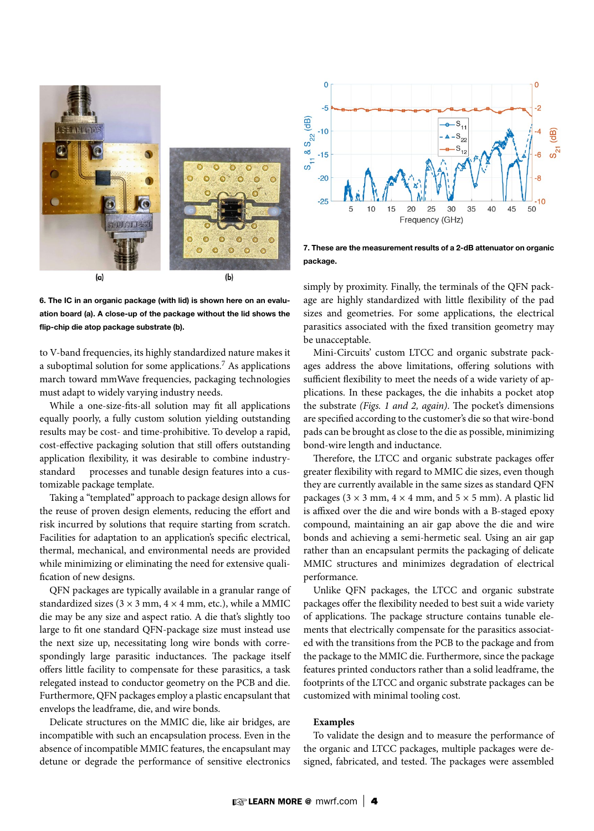

6. The IC in an organic package (with lid) is shown here on an evaluation board (a). A close-up of the package without the lid shows the flip-chip die atop package substrate (b).

to V-band frequencies, its highly standardized nature makes it a suboptimal solution for some applications.<sup>7</sup> As applications march toward mmWave frequencies, packaging technologies must adapt to widely varying industry needs.

While a one-size-fits-all solution may fit all applications equally poorly, a fully custom solution yielding outstanding results may be cost- and time-prohibitive. To develop a rapid, cost-effective packaging solution that still offers outstanding application flexibility, it was desirable to combine industrystandard processes and tunable design features into a customizable package template.

Taking a "templated" approach to package design allows for the reuse of proven design elements, reducing the effort and risk incurred by solutions that require starting from scratch. Facilities for adaptation to an application's specific electrical, thermal, mechanical, and environmental needs are provided while minimizing or eliminating the need for extensive qualification of new designs.

QFN packages are typically available in a granular range of standardized sizes ( $3 \times 3$  mm,  $4 \times 4$  mm, etc.), while a MMIC die may be any size and aspect ratio. A die that's slightly too large to fit one standard QFN-package size must instead use the next size up, necessitating long wire bonds with correspondingly large parasitic inductances. The package itself offers little facility to compensate for these parasitics, a task relegated instead to conductor geometry on the PCB and die. Furthermore, QFN packages employ a plastic encapsulant that envelops the leadframe, die, and wire bonds.

Delicate structures on the MMIC die, like air bridges, are incompatible with such an encapsulation process. Even in the absence of incompatible MMIC features, the encapsulant may detune or degrade the performance of sensitive electronics



7. These are the measurement results of a 2-dB attenuator on organic package.

simply by proximity. Finally, the terminals of the QFN package are highly standardized with little flexibility of the pad sizes and geometries. For some applications, the electrical parasitics associated with the fixed transition geometry may be unacceptable.

Mini-Circuits' custom LTCC and organic substrate packages address the above limitations, offering solutions with sufficient flexibility to meet the needs of a wide variety of applications. In these packages, the die inhabits a pocket atop the substrate *(Figs. 1 and 2, again)*. The pocket's dimensions are specified according to the customer's die so that wire-bond pads can be brought as close to the die as possible, minimizing bond-wire length and inductance.

Therefore, the LTCC and organic substrate packages offer greater flexibility with regard to MMIC die sizes, even though they are currently available in the same sizes as standard QFN packages ( $3 \times 3$  mm,  $4 \times 4$  mm, and  $5 \times 5$  mm). A plastic lid is affixed over the die and wire bonds with a B-staged epoxy compound, maintaining an air gap above the die and wire bonds and achieving a semi-hermetic seal. Using an air gap rather than an encapsulant permits the packaging of delicate MMIC structures and minimizes degradation of electrical performance.

Unlike QFN packages, the LTCC and organic substrate packages offer the flexibility needed to best suit a wide variety of applications. The package structure contains tunable elements that electrically compensate for the parasitics associated with the transitions from the PCB to the package and from the package to the MMIC die. Furthermore, since the package features printed conductors rather than a solid leadframe, the footprints of the LTCC and organic substrate packages can be customized with minimal tooling cost.

#### **Examples**

To validate the design and to measure the performance of the organic and LTCC packages, multiple packages were designed, fabricated, and tested. The packages were assembled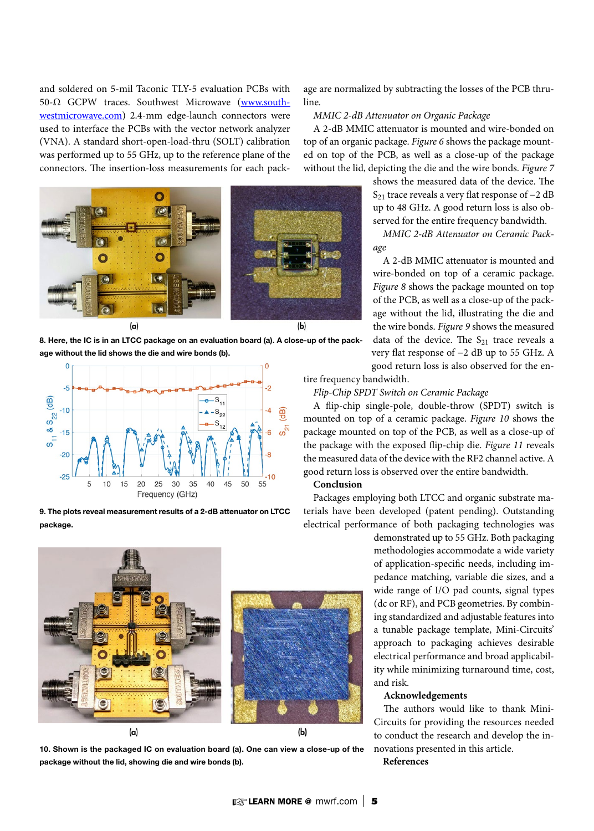and soldered on 5-mil Taconic TLY-5 evaluation PCBs with 50-Ω GCPW traces. Southwest Microwave (www.southwestmicrowave.com) 2.4-mm edge-launch connectors were used to interface the PCBs with the vector network analyzer (VNA). A standard short-open-load-thru (SOLT) calibration was performed up to 55 GHz, up to the reference plane of the connectors. The insertion-loss measurements for each pack-



8. Here, the IC is in an LTCC package on an evaluation board (a). A close-up of the package without the lid shows the die and wire bonds (b).



9. The plots reveal measurement results of a 2-dB attenuator on LTCC package.



10. Shown is the packaged IC on evaluation board (a). One can view a close-up of the package without the lid, showing die and wire bonds (b).

age are normalized by subtracting the losses of the PCB thruline.

#### *MMIC 2-dB Attenuator on Organic Package*

A 2-dB MMIC attenuator is mounted and wire-bonded on top of an organic package. *Figure 6* shows the package mounted on top of the PCB, as well as a close-up of the package without the lid, depicting the die and the wire bonds. *Figure 7*

> shows the measured data of the device. The S<sub>21</sub> trace reveals a very flat response of  $-2$  dB up to 48 GHz. A good return loss is also observed for the entire frequency bandwidth.

> *MMIC 2-dB Attenuator on Ceramic Package*

> A 2-dB MMIC attenuator is mounted and wire-bonded on top of a ceramic package. *Figure 8* shows the package mounted on top of the PCB, as well as a close-up of the package without the lid, illustrating the die and the wire bonds. *Figure 9* shows the measured data of the device. The  $S_{21}$  trace reveals a very flat response of −2 dB up to 55 GHz. A good return loss is also observed for the en-

tire frequency bandwidth.

# *Flip-Chip SPDT Switch on Ceramic Package*

A flip-chip single-pole, double-throw (SPDT) switch is mounted on top of a ceramic package. *Figure 10* shows the package mounted on top of the PCB, as well as a close-up of the package with the exposed flip-chip die. *Figure 11* reveals the measured data of the device with the RF2 channel active. A good return loss is observed over the entire bandwidth.

# **Conclusion**

Packages employing both LTCC and organic substrate materials have been developed (patent pending). Outstanding electrical performance of both packaging technologies was

demonstrated up to 55 GHz. Both packaging methodologies accommodate a wide variety of application-specific needs, including impedance matching, variable die sizes, and a wide range of I/O pad counts, signal types (dc or RF), and PCB geometries. By combining standardized and adjustable features into a tunable package template, Mini-Circuits' approach to packaging achieves desirable electrical performance and broad applicability while minimizing turnaround time, cost, and risk.

#### **Acknowledgements**

The authors would like to thank Mini-Circuits for providing the resources needed to conduct the research and develop the innovations presented in this article.

# **References**